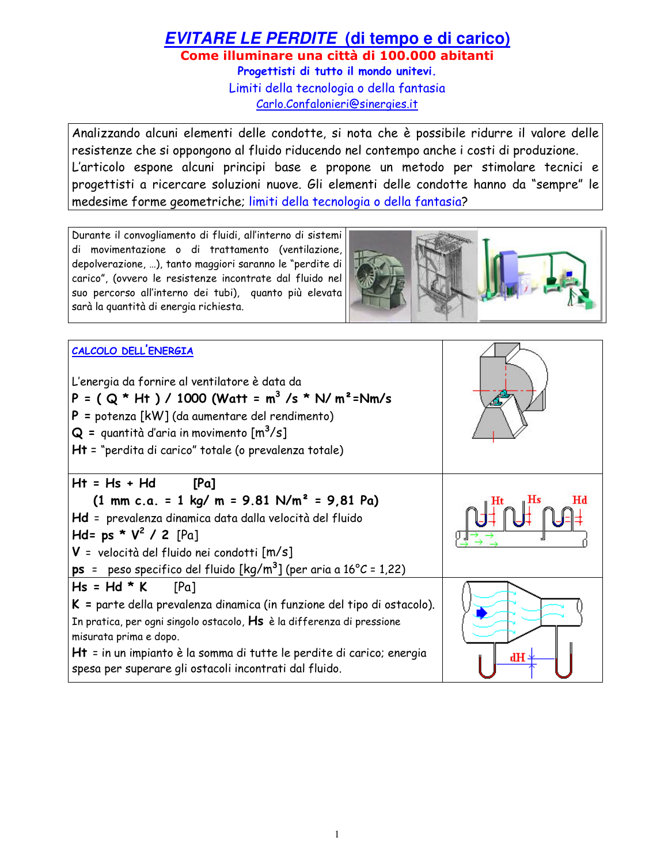# **EVITARE LE PERDITE** (di tempo e di carico) Come illuminare una città di 100.000 abitanti Progettisti di tutto il mondo unitevi. Limiti della tecnologia o della fantasia

Carlo.Confalonieri@sinergies.it

Analizzando alcuni elementi delle condotte, si nota che è possibile ridurre il valore delle resistenze che si oppongono al fluido riducendo nel contempo anche i costi di produzione. L'articolo espone alcuni principi base e propone un metodo per stimolare tecnici e progettisti a ricercare soluzioni nuove. Gli elementi delle condotte hanno da "sempre" le medesime forme geometriche; limiti della tecnologia o della fantasia?

Durante il convogliamento di fluidi, all'interno di sistemi di movimentazione o di trattamento (ventilazione, depolverazione, ...), tanto maggiori saranno le "perdite di carico", (ovvero le resistenze incontrate dal fluido nel suo percorso all'interno dei tubi), quanto più elevata sarà la quantità di energia richiesta.



| CALCOLO DELL'ENERGIA<br>L'energia da fornire al ventilatore è data da<br>P = ( $Q * Ht$ ) / 1000 (Watt = $m^3$ /s * N/ $m^2$ =Nm/s<br>$P =$ potenza [kW] (da aumentare del rendimento)<br>$Q =$ quantità d'aria in movimento $[m^3/s]$<br>Ht = "perdita di carico" totale (o prevalenza totale)                                          |  |
|------------------------------------------------------------------------------------------------------------------------------------------------------------------------------------------------------------------------------------------------------------------------------------------------------------------------------------------|--|
| $Ht = Hs + Hd$ [Pa]<br>$(1 \text{ mm c.a.} = 1 \text{ kg/m} = 9.81 \text{ N/m}^2 = 9.81 \text{ Pa})$<br>Hd = prevalenza dinamica data dalla velocità del fluido<br>Hd= ps * $V^2$ / 2 [Pa]<br>V = velocità del fluido nei condotti [m/s]<br><b>ps</b> = peso specifico del fluido $\left[\frac{kg}{m^3}\right]$ (per aria a 16°C = 1,22) |  |
| $Hs = Hd * K$ [Pa]<br>$K$ = parte della prevalenza dinamica (in funzione del tipo di ostacolo).<br>In pratica, per ogni singolo ostacolo, Hs è la differenza di pressione<br>misurata prima e dopo.<br>Ht = in un impianto è la somma di tutte le perdite di carico; energia<br>spesa per superare gli ostacoli incontrati dal fluido.   |  |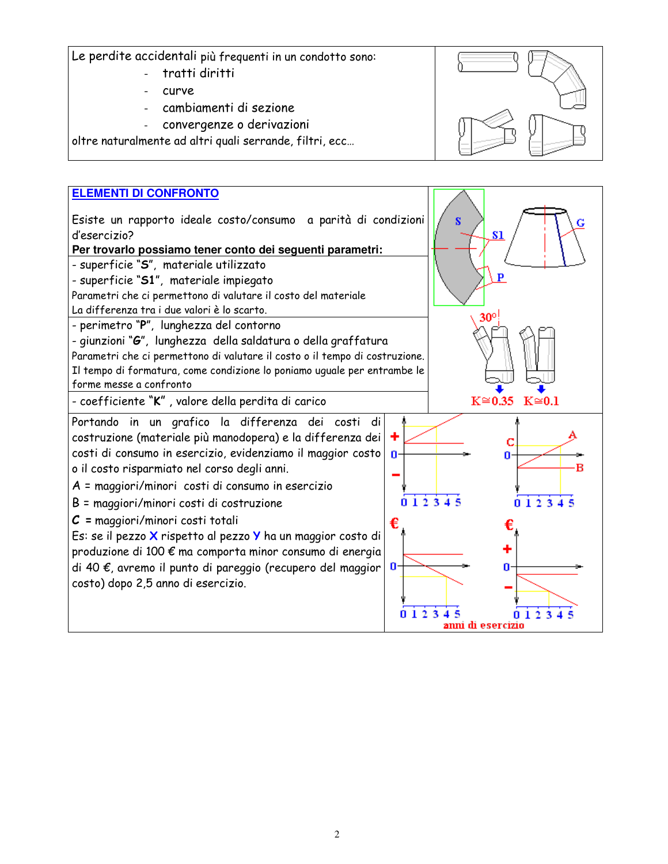Le perdite accidentali più frequenti in un condotto sono:

- tratti diritti
- curve
- cambiamenti di sezione
- convergenze o derivazioni

oltre naturalmente ad altri quali serrande, filtri, ecc...

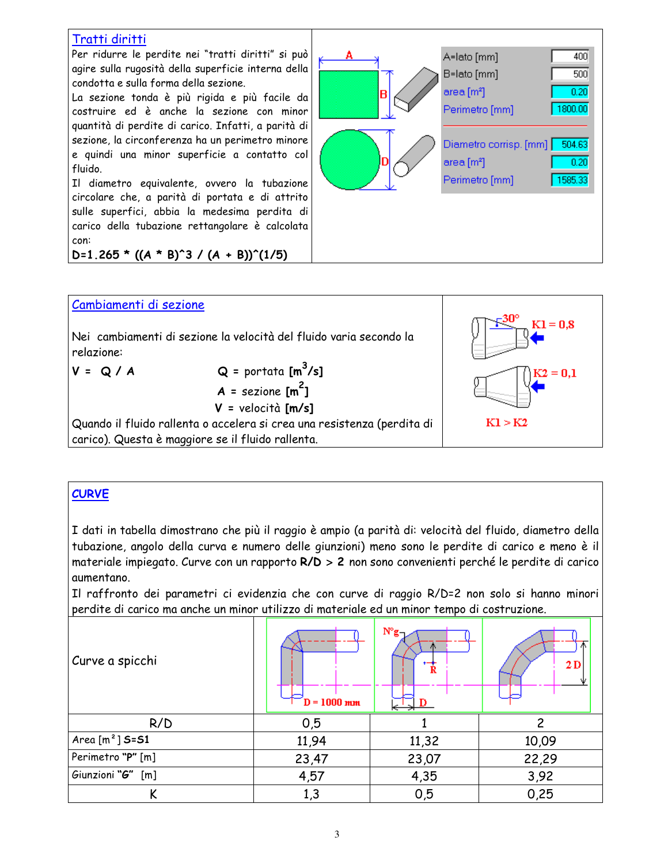| Per ridurre le perdite nei "tratti diritti" si può                | 400                    |
|-------------------------------------------------------------------|------------------------|
| agire sulla rugosità della superficie interna della               | A=lato [mm]            |
| condotta e sulla forma della sezione.                             | B=lato [mm]            |
| La sezione tonda è più rigida e più facile da                     | 500                    |
| costruire ed è anche la sezione con minor                         | area [m <sup>2</sup> ] |
| quantità di perdite di carico. Infatti, a parità di               | 0.20                   |
| sezione, la circonferenza ha un perimetro minore                  | R                      |
| e quindi una minor superficie a contatto col                      | 1800.00                |
| fluido.                                                           | Perimetro [mm]         |
| Il diametro equivalente, ovvero la tubazione                      | Diametro corrisp. [mm] |
| circolare che, a parità di portata e di attrito                   | 504.63                 |
| sulle superfici, abbia la medesima perdita di                     | area [m <sup>2</sup> ] |
| carico della tubazione rettangolare è calcolata                   | 0.20                   |
| con:                                                              | Perimetro [mm]         |
| $D=1.265$ * ((A * B) <sup>2</sup> 3 / (A + B)) <sup>2</sup> (1/5) | 1585.33                |



#### **CURVE**

I dati in tabella dimostrano che più il raggio è ampio (a parità di: velocità del fluido, diametro della tubazione, angolo della curva e numero delle giunzioni) meno sono le perdite di carico e meno è il materiale impiegato. Curve con un rapporto R/D > 2 non sono convenienti perché le perdite di carico aumentano.

Il raffronto dei parametri ci evidenzia che con curve di raggio R/D=2 non solo si hanno minori perdite di carico ma anche un minor utilizzo di materiale ed un minor tempo di costruzione.

| Curve a spicchi   | $\boldsymbol{D} = 1000$ mm | $N^{\circ}g_{\neg}$<br>宣 | 2D    |
|-------------------|----------------------------|--------------------------|-------|
| R/D               | 0,5                        |                          | 2     |
| Area $[m^2]$ S=S1 | 11,94                      | 11,32                    | 10,09 |
| Perimetro "P" [m] | 23,47                      | 23,07                    | 22,29 |
| Giunzioni "G" [m] | 4,57                       | 4,35                     | 3,92  |
|                   | 1,3                        | 0,5                      | 0,25  |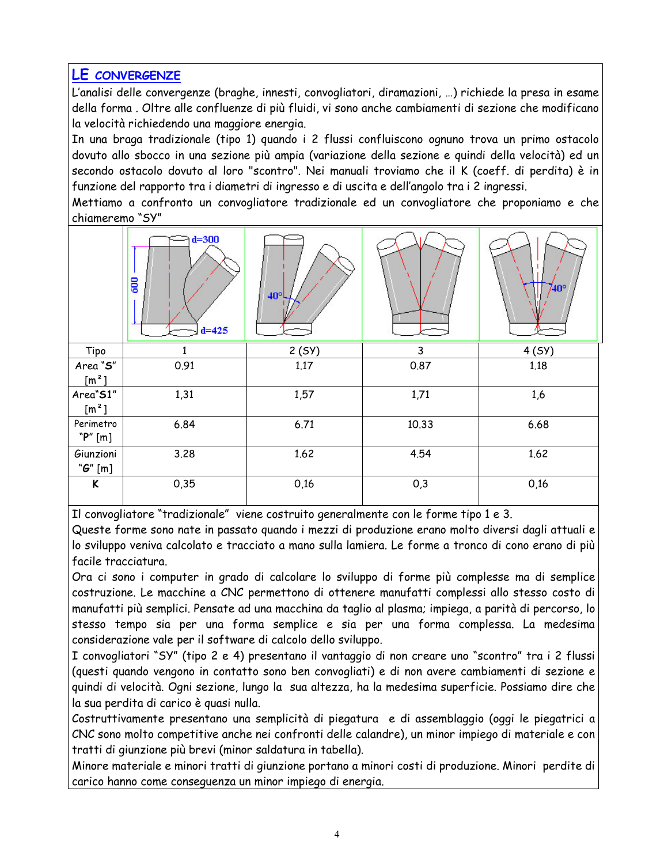### **LE CONVERGENZE**

L'analisi delle convergenze (braghe, innesti, convogliatori, diramazioni, ...) richiede la presa in esame della forma. Oltre alle confluenze di più fluidi, vi sono anche cambiamenti di sezione che modificano la velocità richiedendo una maggiore energia.

In una braga tradizionale (tipo 1) quando i 2 flussi confluiscono ognuno trova un primo ostacolo dovuto allo sbocco in una sezione più ampia (variazione della sezione e quindi della velocità) ed un secondo ostacolo dovuto al loro "scontro". Nei manuali troviamo che il K (coeff. di perdita) è in funzione del rapporto tra i diametri di ingresso e di uscita e dell'angolo tra i 2 ingressi.

Mettiamo a confronto un convogliatore tradizionale ed un convogliatore che proponiamo e che chiameremo "SY"

|                           | $d = 300$<br>600<br>$d = 425$ | $40^{\circ}$ |       | 740°  |
|---------------------------|-------------------------------|--------------|-------|-------|
| Tipo                      |                               | 2(SY)        | 3     | 4(SY) |
| Area "S"                  | 0.91                          | 1.17         | 0.87  | 1.18  |
| $\left[\text{m}^2\right]$ |                               |              |       |       |
| Area"S1"                  | 1,31                          | 1,57         | 1,71  | 1,6   |
| $[m^2]$                   |                               |              |       |       |
| Perimetro                 | 6.84                          | 6.71         | 10.33 | 6.68  |
| "P" [m]                   |                               |              |       |       |
| Giunzioni                 | 3.28                          | 1.62         | 4.54  | 1.62  |
| " $G$ " [m]               |                               |              |       |       |
| K                         | 0,35                          | 0,16         | 0,3   | 0,16  |

Il convogliatore "tradizionale" viene costruito generalmente con le forme tipo 1 e 3.

Queste forme sono nate in passato quando i mezzi di produzione erano molto diversi dagli attuali e lo sviluppo veniva calcolato e tracciato a mano sulla lamiera. Le forme a tronco di cono erano di più facile tracciatura.

Ora ci sono i computer in grado di calcolare lo sviluppo di forme più complesse ma di semplice costruzione. Le macchine a CNC permettono di ottenere manufatti complessi allo stesso costo di manufatti più semplici. Pensate ad una macchina da taglio al plasma; impiega, a parità di percorso, lo stesso tempo sia per una forma semplice e sia per una forma complessa. La medesima considerazione vale per il software di calcolo dello sviluppo.

I convogliatori "SY" (tipo 2 e 4) presentano il vantaggio di non creare uno "scontro" tra i 2 flussi (questi quando vengono in contatto sono ben convogliati) e di non avere cambiamenti di sezione e quindi di velocità. Ogni sezione, lungo la sua altezza, ha la medesima superficie. Possiamo dire che la sua perdita di carico è quasi nulla.

Costruttivamente presentano una semplicità di piegatura e di assemblaggio (oggi le piegatrici a CNC sono molto competitive anche nei confronti delle calandre), un minor impiego di materiale e con tratti di giunzione più brevi (minor saldatura in tabella).

Minore materiale e minori tratti di giunzione portano a minori costi di produzione. Minori perdite di carico hanno come consequenza un minor impiego di energia.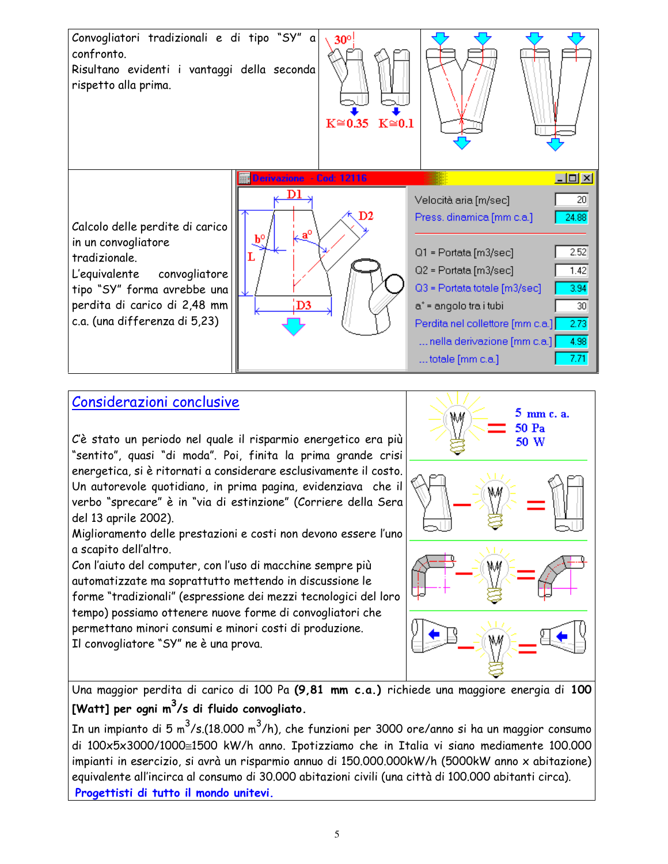

# Considerazioni conclusive

C'è stato un periodo nel quale il risparmio energetico era più "sentito", quasi "di moda". Poi, finita la prima grande crisi energetica, si è ritornati a considerare esclusivamente il costo. Un autorevole quotidiano, in prima pagina, evidenziava che il verbo "sprecare" è in "via di estinzione" (Corriere della Sera del 13 aprile 2002).

Miglioramento delle prestazioni e costi non devono essere l'uno a scapito dell'altro.

Con l'aiuto del computer, con l'uso di macchine sempre più automatizzate ma soprattutto mettendo in discussione le forme "tradizionali" (espressione dei mezzi tecnologici del loro tempo) possiamo ottenere nuove forme di convogliatori che permettano minori consumi e minori costi di produzione. Il convogliatore "SY" ne è una prova.



Una maggior perdita di carico di 100 Pa (9,81 mm c.a.) richiede una maggiore energia di 100 [Watt] per ogni m<sup>3</sup>/s di fluido convogliato.

In un impianto di 5 m<sup>3</sup>/s.(18.000 m<sup>3</sup>/h), che funzioni per 3000 ore/anno si ha un maggior consumo di 100x5x3000/1000≅1500 kW/h anno. Ipotizziamo che in Italia vi siano mediamente 100.000 impianti in esercizio, si avrà un risparmio annuo di 150.000.000kW/h (5000kW anno x abitazione) equivalente all'incirca al consumo di 30.000 abitazioni civili (una città di 100.000 abitanti circa). Progettisti di tutto il mondo unitevi.